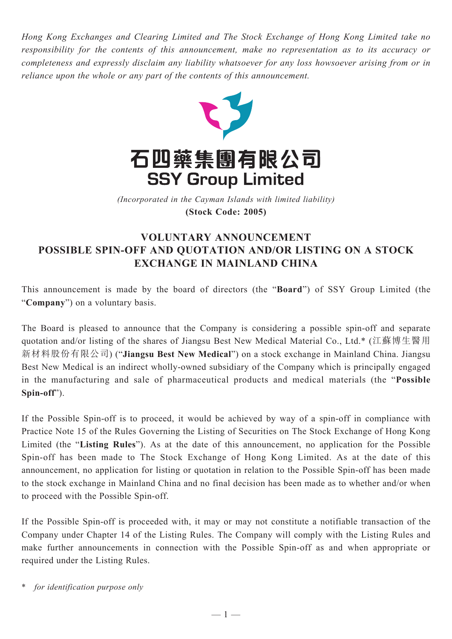*Hong Kong Exchanges and Clearing Limited and The Stock Exchange of Hong Kong Limited take no responsibility for the contents of this announcement, make no representation as to its accuracy or completeness and expressly disclaim any liability whatsoever for any loss howsoever arising from or in reliance upon the whole or any part of the contents of this announcement.*



(Incorporated in the Cayman Islands with limited liability) *(Incorporated in the Cayman Islands with limited liability)* **(Stock Code: 2005) (Stock Code: 2005)**

## **VOLUNTARY ANNOUNCEMENT POSSIBLE SPIN-OFF AND QUOTATION AND/OR LISTING ON A STOCK EXCHANGE IN MAINLAND CHINA**

This announcement is made by the board of directors (the "**Board**") of SSY Group Limited (the "**Company**") on a voluntary basis.

The Board is pleased to announce that the Company is considering a possible spin-off and separate quotation and/or listing of the shares of Jiangsu Best New Medical Material Co., Ltd.\* (江蘇博生醫用 新材料股份有限公司) ("**Jiangsu Best New Medical**") on a stock exchange in Mainland China. Jiangsu Best New Medical is an indirect wholly-owned subsidiary of the Company which is principally engaged in the manufacturing and sale of pharmaceutical products and medical materials (the "**Possible Spin-off**").

If the Possible Spin-off is to proceed, it would be achieved by way of a spin-off in compliance with Practice Note 15 of the Rules Governing the Listing of Securities on The Stock Exchange of Hong Kong Limited (the "**Listing Rules**"). As at the date of this announcement, no application for the Possible Spin-off has been made to The Stock Exchange of Hong Kong Limited. As at the date of this announcement, no application for listing or quotation in relation to the Possible Spin-off has been made to the stock exchange in Mainland China and no final decision has been made as to whether and/or when to proceed with the Possible Spin-off.

If the Possible Spin-off is proceeded with, it may or may not constitute a notifiable transaction of the Company under Chapter 14 of the Listing Rules. The Company will comply with the Listing Rules and make further announcements in connection with the Possible Spin-off as and when appropriate or required under the Listing Rules.

for *identification purpose only*